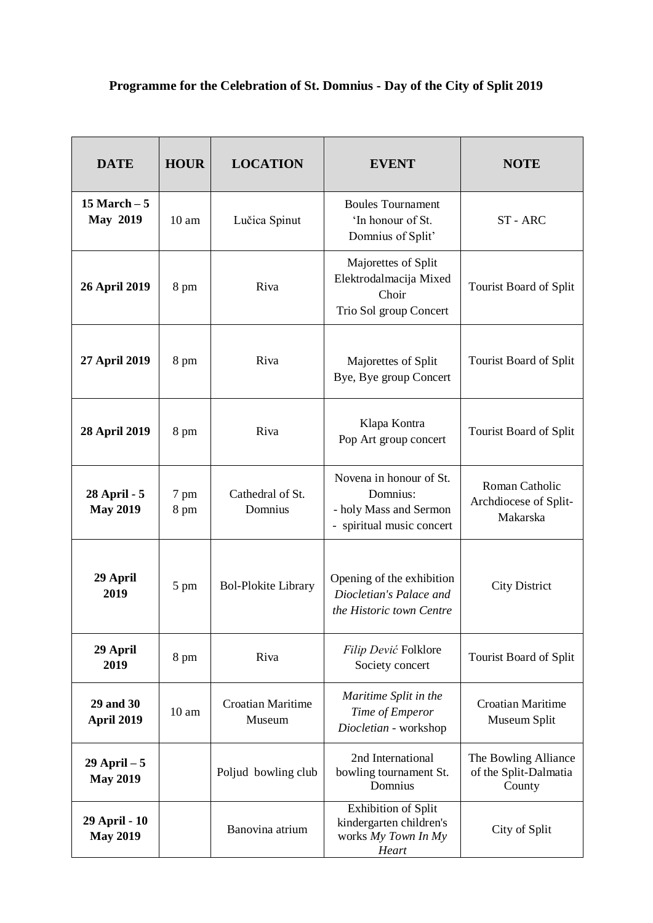| <b>DATE</b>                        | <b>HOUR</b>      | <b>LOCATION</b>                    | <b>EVENT</b>                                                                               | <b>NOTE</b>                                             |
|------------------------------------|------------------|------------------------------------|--------------------------------------------------------------------------------------------|---------------------------------------------------------|
| $15$ March $-5$<br><b>May 2019</b> | $10 \text{ am}$  | Lučica Spinut                      | <b>Boules Tournament</b><br>'In honour of St.<br>Domnius of Split'                         | ST-ARC                                                  |
| 26 April 2019                      | 8 pm             | Riva                               | Majorettes of Split<br>Elektrodalmacija Mixed<br>Choir<br>Trio Sol group Concert           | Tourist Board of Split                                  |
| 27 April 2019                      | 8 pm             | Riva                               | Majorettes of Split<br>Bye, Bye group Concert                                              | Tourist Board of Split                                  |
| 28 April 2019                      | 8 pm             | Riva                               | Klapa Kontra<br>Pop Art group concert                                                      | Tourist Board of Split                                  |
| 28 April - 5<br><b>May 2019</b>    | 7 pm<br>8 pm     | Cathedral of St.<br>Domnius        | Novena in honour of St.<br>Domnius:<br>- holy Mass and Sermon<br>- spiritual music concert | Roman Catholic<br>Archdiocese of Split-<br>Makarska     |
| 29 April<br>2019                   | 5 pm             | <b>Bol-Plokite Library</b>         | Opening of the exhibition<br>Diocletian's Palace and<br>the Historic town Centre           | <b>City District</b>                                    |
| 29 April<br>2019                   | 8 pm             | Riva                               | Filip Dević Folklore<br>Society concert                                                    | Tourist Board of Split                                  |
| 29 and 30<br>April 2019            | 10 <sub>am</sub> | <b>Croatian Maritime</b><br>Museum | Maritime Split in the<br>Time of Emperor<br>Diocletian - workshop                          | <b>Croatian Maritime</b><br>Museum Split                |
| $29$ April $-5$<br><b>May 2019</b> |                  | Poljud bowling club                | 2nd International<br>bowling tournament St.<br>Domnius                                     | The Bowling Alliance<br>of the Split-Dalmatia<br>County |
| 29 April - 10<br><b>May 2019</b>   |                  | Banovina atrium                    | <b>Exhibition of Split</b><br>kindergarten children's<br>works My Town In My<br>Heart      | City of Split                                           |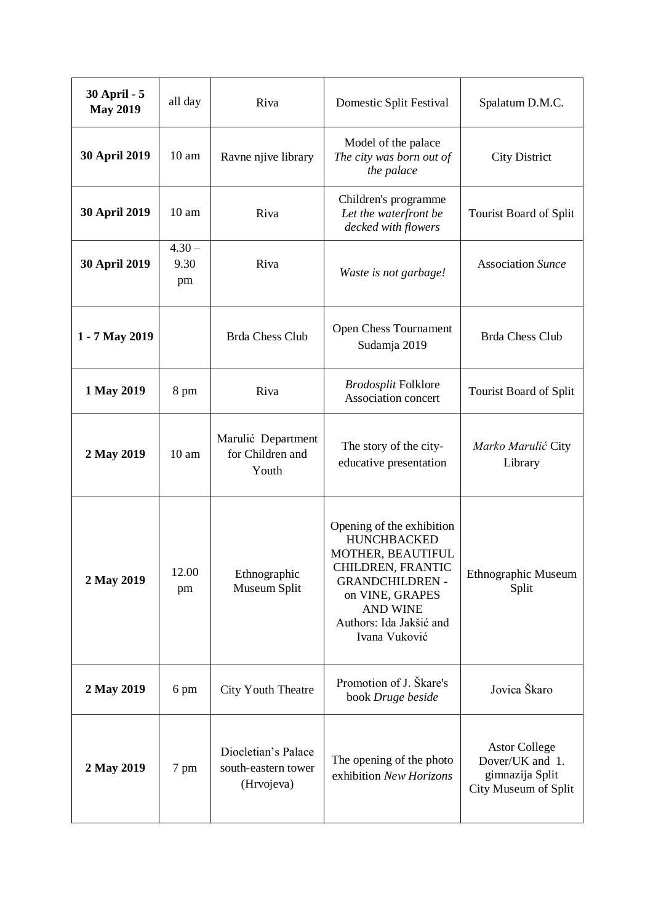| 30 April - 5<br><b>May 2019</b> | all day                | Riva                                                     | Domestic Split Festival                                                                                                                                                                               | Spalatum D.M.C.                                                                    |
|---------------------------------|------------------------|----------------------------------------------------------|-------------------------------------------------------------------------------------------------------------------------------------------------------------------------------------------------------|------------------------------------------------------------------------------------|
| <b>30 April 2019</b>            | $10 \text{ am}$        | Ravne njive library                                      | Model of the palace<br>The city was born out of<br>the palace                                                                                                                                         | <b>City District</b>                                                               |
| <b>30 April 2019</b>            | $10 \text{ am}$        | Riva                                                     | Children's programme<br>Let the waterfront be<br>decked with flowers                                                                                                                                  | Tourist Board of Split                                                             |
| <b>30 April 2019</b>            | $4.30 -$<br>9.30<br>pm | Riva                                                     | Waste is not garbage!                                                                                                                                                                                 | <b>Association Sunce</b>                                                           |
| 1 - 7 May 2019                  |                        | <b>Brda Chess Club</b>                                   | Open Chess Tournament<br>Sudamja 2019                                                                                                                                                                 | <b>Brda Chess Club</b>                                                             |
| 1 May 2019                      | 8 pm                   | Riva                                                     | <b>Brodosplit Folklore</b><br>Association concert                                                                                                                                                     | Tourist Board of Split                                                             |
| 2 May 2019                      | 10 <sub>am</sub>       | Marulić Department<br>for Children and<br>Youth          | The story of the city-<br>educative presentation                                                                                                                                                      | Marko Marulić City<br>Library                                                      |
| 2 May 2019                      | 12.00<br>pm            | Ethnographic<br>Museum Split                             | Opening of the exhibition<br><b>HUNCHBACKED</b><br>MOTHER, BEAUTIFUL<br>CHILDREN, FRANTIC<br><b>GRANDCHILDREN -</b><br>on VINE, GRAPES<br><b>AND WINE</b><br>Authors: Ida Jakšić and<br>Ivana Vuković | Ethnographic Museum<br>Split                                                       |
| 2 May 2019                      | 6 pm                   | City Youth Theatre                                       | Promotion of J. Škare's<br>book Druge beside                                                                                                                                                          | Jovica Škaro                                                                       |
| 2 May 2019                      | 7 pm                   | Diocletian's Palace<br>south-eastern tower<br>(Hrvojeva) | The opening of the photo<br>exhibition New Horizons                                                                                                                                                   | <b>Astor College</b><br>Dover/UK and 1.<br>gimnazija Split<br>City Museum of Split |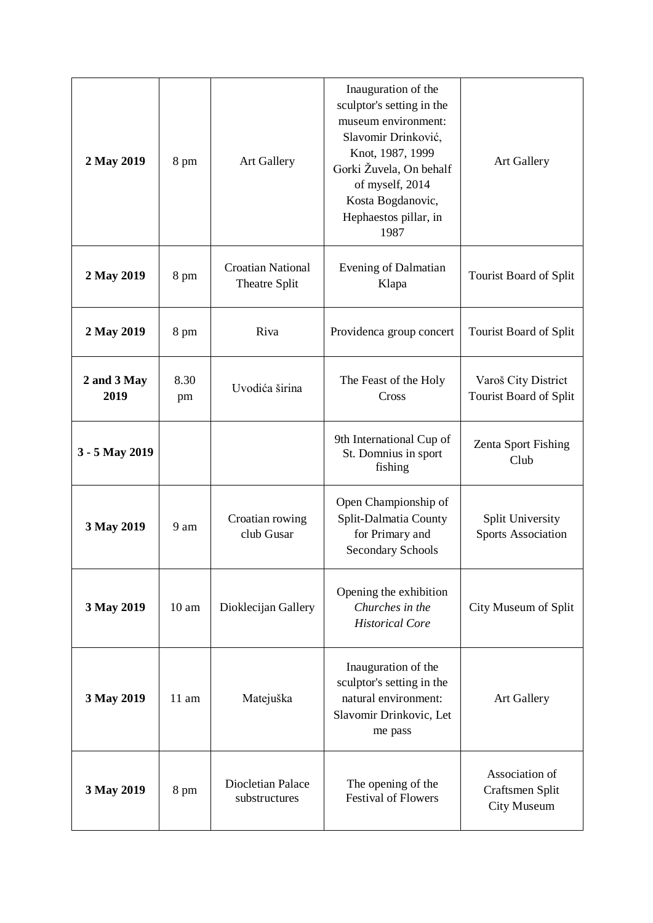| 2 May 2019          | 8 pm             | <b>Art Gallery</b>                        | Inauguration of the<br>sculptor's setting in the<br>museum environment:<br>Slavomir Drinković,<br>Knot, 1987, 1999<br>Gorki Žuvela, On behalf<br>of myself, 2014<br>Kosta Bogdanovic,<br>Hephaestos pillar, in<br>1987 | <b>Art Gallery</b>                               |
|---------------------|------------------|-------------------------------------------|------------------------------------------------------------------------------------------------------------------------------------------------------------------------------------------------------------------------|--------------------------------------------------|
| 2 May 2019          | 8 pm             | <b>Croatian National</b><br>Theatre Split | <b>Evening of Dalmatian</b><br>Klapa                                                                                                                                                                                   | Tourist Board of Split                           |
| 2 May 2019          | 8 pm             | Riva                                      | Providenca group concert                                                                                                                                                                                               | Tourist Board of Split                           |
| 2 and 3 May<br>2019 | 8.30<br>pm       | Uvodića širina                            | The Feast of the Holy<br>Cross                                                                                                                                                                                         | Varoš City District<br>Tourist Board of Split    |
| 3 - 5 May 2019      |                  |                                           | 9th International Cup of<br>St. Domnius in sport<br>fishing                                                                                                                                                            | Zenta Sport Fishing<br>Club                      |
| 3 May 2019          | 9 am             | Croatian rowing<br>club Gusar             | Open Championship of<br>Split-Dalmatia County<br>for Primary and<br><b>Secondary Schools</b>                                                                                                                           | Split University<br><b>Sports Association</b>    |
| 3 May 2019          | 10 <sub>am</sub> | Dioklecijan Gallery                       | Opening the exhibition<br>Churches in the<br><b>Historical Core</b>                                                                                                                                                    | City Museum of Split                             |
| 3 May 2019          | $11 \text{ am}$  | Matejuška                                 | Inauguration of the<br>sculptor's setting in the<br>natural environment:<br>Slavomir Drinkovic, Let<br>me pass                                                                                                         | <b>Art Gallery</b>                               |
| 3 May 2019          | 8 pm             | Diocletian Palace<br>substructures        | The opening of the<br><b>Festival of Flowers</b>                                                                                                                                                                       | Association of<br>Craftsmen Split<br>City Museum |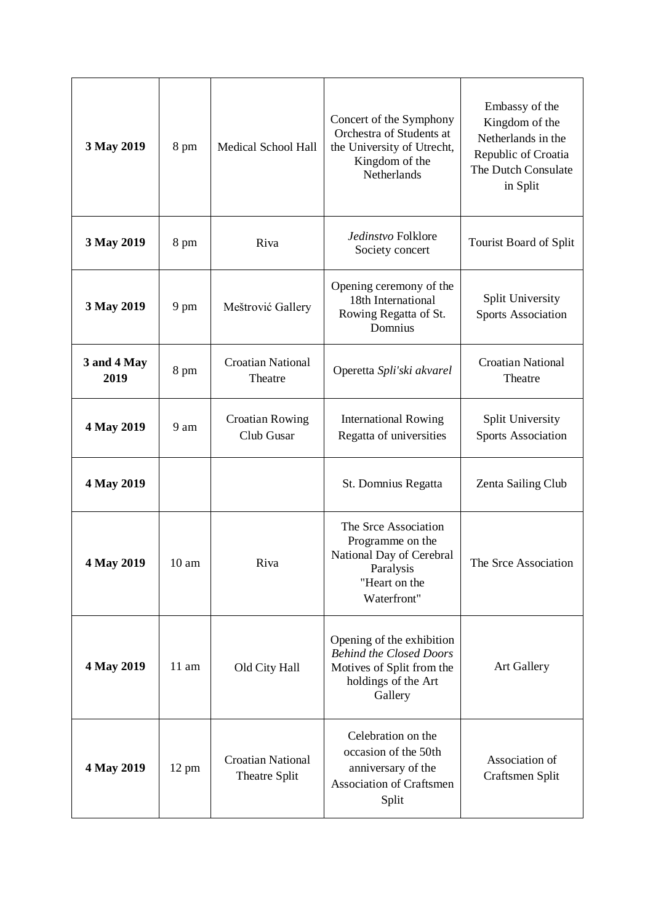| 3 May 2019          | 8 pm             | Medical School Hall                       | Concert of the Symphony<br>Orchestra of Students at<br>the University of Utrecht,<br>Kingdom of the<br>Netherlands         | Embassy of the<br>Kingdom of the<br>Netherlands in the<br>Republic of Croatia<br>The Dutch Consulate<br>in Split |
|---------------------|------------------|-------------------------------------------|----------------------------------------------------------------------------------------------------------------------------|------------------------------------------------------------------------------------------------------------------|
| 3 May 2019          | 8 pm             | Riva                                      | Jedinstvo Folklore<br>Society concert                                                                                      | Tourist Board of Split                                                                                           |
| 3 May 2019          | 9 pm             | Meštrović Gallery                         | Opening ceremony of the<br>18th International<br>Rowing Regatta of St.<br>Domnius                                          | Split University<br><b>Sports Association</b>                                                                    |
| 3 and 4 May<br>2019 | 8 pm             | <b>Croatian National</b><br>Theatre       | Operetta Spli'ski akvarel                                                                                                  | <b>Croatian National</b><br>Theatre                                                                              |
| 4 May 2019          | 9 am             | <b>Croatian Rowing</b><br>Club Gusar      | <b>International Rowing</b><br>Regatta of universities                                                                     | Split University<br><b>Sports Association</b>                                                                    |
| 4 May 2019          |                  |                                           | St. Domnius Regatta                                                                                                        | Zenta Sailing Club                                                                                               |
| 4 May 2019          | 10 <sub>am</sub> | Riva                                      | The Srce Association<br>Programme on the<br>National Day of Cerebral<br>Paralysis<br>"Heart on the<br>Waterfront"          | The Srce Association                                                                                             |
| 4 May 2019          | $11 \text{ am}$  | Old City Hall                             | Opening of the exhibition<br><b>Behind the Closed Doors</b><br>Motives of Split from the<br>holdings of the Art<br>Gallery | Art Gallery                                                                                                      |
| 4 May 2019          | $12 \text{ pm}$  | <b>Croatian National</b><br>Theatre Split | Celebration on the<br>occasion of the 50th<br>anniversary of the<br><b>Association of Craftsmen</b><br>Split               | Association of<br>Craftsmen Split                                                                                |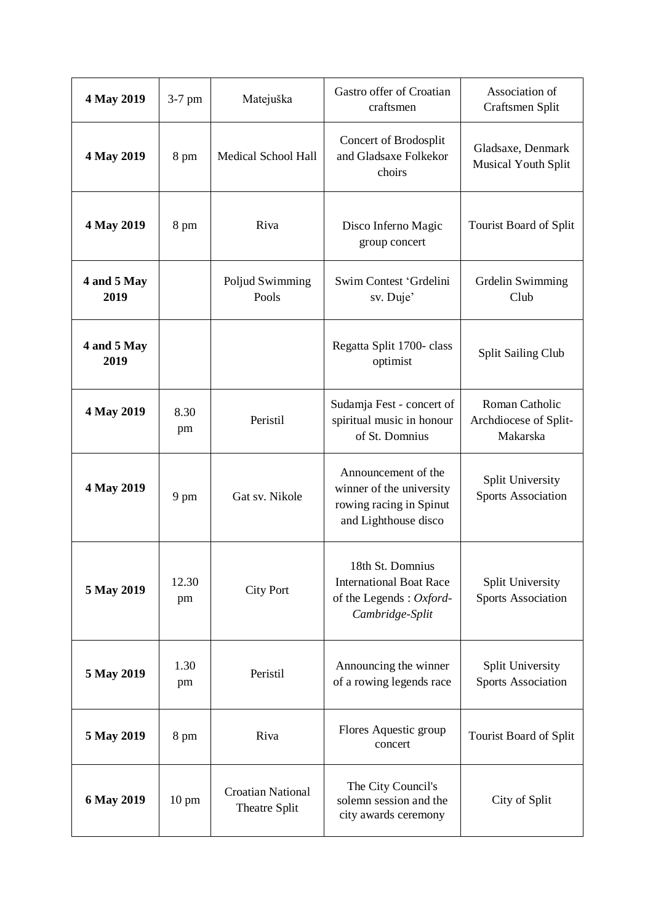| 4 May 2019          | $3-7$ pm        | Matejuška                                 | Gastro offer of Croatian<br>craftsmen                                                              | Association of<br>Craftsmen Split                   |
|---------------------|-----------------|-------------------------------------------|----------------------------------------------------------------------------------------------------|-----------------------------------------------------|
| 4 May 2019          | 8 pm            | <b>Medical School Hall</b>                | Concert of Brodosplit<br>and Gladsaxe Folkekor<br>choirs                                           | Gladsaxe, Denmark<br><b>Musical Youth Split</b>     |
| 4 May 2019          | 8 pm            | Riva                                      | Disco Inferno Magic<br>group concert                                                               | Tourist Board of Split                              |
| 4 and 5 May<br>2019 |                 | Poljud Swimming<br>Pools                  | Swim Contest 'Grdelini<br>sv. Duje'                                                                | Grdelin Swimming<br>Club                            |
| 4 and 5 May<br>2019 |                 |                                           | Regatta Split 1700- class<br>optimist                                                              | <b>Split Sailing Club</b>                           |
| 4 May 2019          | 8.30<br>pm      | Peristil                                  | Sudamja Fest - concert of<br>spiritual music in honour<br>of St. Domnius                           | Roman Catholic<br>Archdiocese of Split-<br>Makarska |
| 4 May 2019          | 9 pm            | Gat sv. Nikole                            | Announcement of the<br>winner of the university<br>rowing racing in Spinut<br>and Lighthouse disco | Split University<br><b>Sports Association</b>       |
| 5 May 2019          | 12.30<br>pm     | <b>City Port</b>                          | 18th St. Domnius<br><b>International Boat Race</b><br>of the Legends : Oxford-<br>Cambridge-Split  | Split University<br><b>Sports Association</b>       |
| 5 May 2019          | 1.30<br>pm      | Peristil                                  | Announcing the winner<br>of a rowing legends race                                                  | Split University<br><b>Sports Association</b>       |
| 5 May 2019          | 8 pm            | Riva                                      | Flores Aquestic group<br>concert                                                                   | Tourist Board of Split                              |
| 6 May 2019          | $10 \text{ pm}$ | <b>Croatian National</b><br>Theatre Split | The City Council's<br>solemn session and the<br>city awards ceremony                               | City of Split                                       |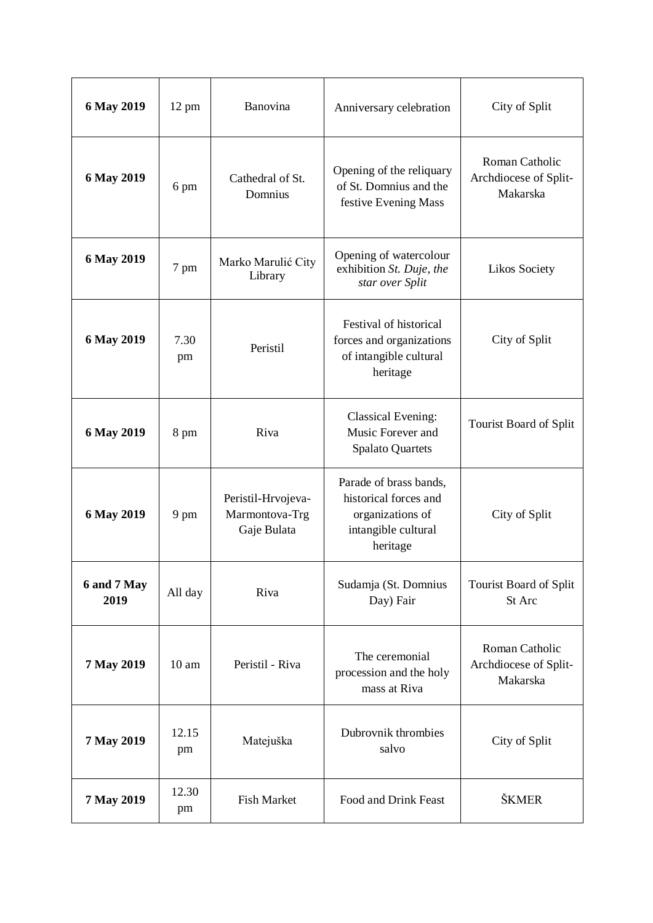| 6 May 2019          | $12 \text{ pm}$  | Banovina                                            | Anniversary celebration                                                                                | City of Split                                       |
|---------------------|------------------|-----------------------------------------------------|--------------------------------------------------------------------------------------------------------|-----------------------------------------------------|
| 6 May 2019          | 6 pm             | Cathedral of St.<br>Domnius                         | Opening of the reliquary<br>of St. Domnius and the<br>festive Evening Mass                             | Roman Catholic<br>Archdiocese of Split-<br>Makarska |
| 6 May 2019          | 7 pm             | Marko Marulić City<br>Library                       | Opening of watercolour<br>exhibition St. Duje, the<br>star over Split                                  | Likos Society                                       |
| 6 May 2019          | 7.30<br>pm       | Peristil                                            | Festival of historical<br>forces and organizations<br>of intangible cultural<br>heritage               | City of Split                                       |
| 6 May 2019          | 8 pm             | Riva                                                | <b>Classical Evening:</b><br>Music Forever and<br><b>Spalato Quartets</b>                              | Tourist Board of Split                              |
| 6 May 2019          | 9 pm             | Peristil-Hrvojeva-<br>Marmontova-Trg<br>Gaje Bulata | Parade of brass bands,<br>historical forces and<br>organizations of<br>intangible cultural<br>heritage | City of Split                                       |
| 6 and 7 May<br>2019 | All day          | Riva                                                | Sudamja (St. Domnius<br>Day) Fair                                                                      | Tourist Board of Split<br>St Arc                    |
| 7 May 2019          | 10 <sub>am</sub> | Peristil - Riva                                     | The ceremonial<br>procession and the holy<br>mass at Riva                                              | Roman Catholic<br>Archdiocese of Split-<br>Makarska |
| 7 May 2019          | 12.15<br>pm      | Matejuška                                           | Dubrovnik thrombies<br>salvo                                                                           | City of Split                                       |
| 7 May 2019          | 12.30<br>pm      | Fish Market                                         | Food and Drink Feast                                                                                   | ŠKMER                                               |